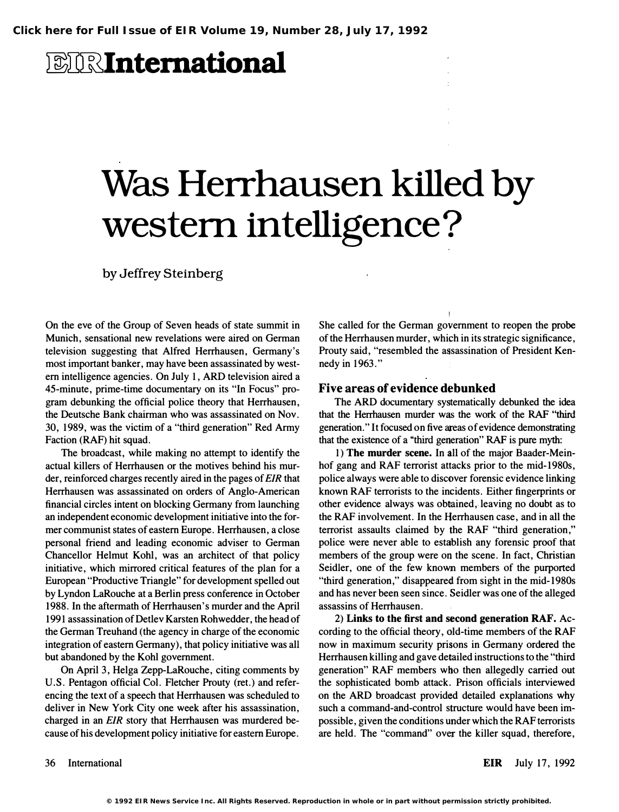## **EIRInternational**

# Was Herrhausen killed by western intelligence?

by Jeffrey Steinberg

On the eve of the Group of Seven heads of state summit in Munich, sensational new revelations were aired on German television suggesting that Alfred Herrhausen, Gennany's most important banker, may have been assassinated by western intelligence agencies. On July 1, ARD television aired a 45-minute, prime-time documentary on its "In Focus" program debunking the official police theory that Herrhausen, the Deutsche Bank chairman who was assassinated on Nov. 30, 1989, was the victim of a "third generation" Red Anny Faction (RAP) hit squad.

The broadcast, while making no attempt to identify the actual killers of Herrhausen or the motives behind his murder, reinforced charges recently aired in the pages of EIR that Herrhausen was assassinated on orders of Anglo-American financial circles intent on blocking Germany from launching an independent economic development initiative into the former communist states of eastern Europe. Herrhausen, a close personal friend and leading economic adviser to Gennan Chancellor Helmut Kohl, was an architect of that policy initiative, which mirrored critical features of the plan for a European "Productive Triangle" for development spelled out by Lyndon LaRouche at a Berlin press conference in October 1988. In the aftermath of Herrhausen's murder and the April 1991 assassination of Detlev Karsten Rohwedder, the head of the German Treuhand (the agency in charge of the economic integration of eastern Germany), that policy initiative was all but abandoned by the Kohl government.

On April 3, Helga Zepp-LaRouche, citing comments by U.S. Pentagon official Col. Fletcher Prouty (ret.) and referencing the text of a speech that Herrhausen was scheduled to deliver in New York City one week after his assassination, charged in an EIR story that Herrhausen was murdered because of his development policy initiative for eastern Europe.

She called for the German government to reopen the probe of the Herrhausen murder, which in its strategic significance, Prouty said, "resembled the assassination of President Kennedy in 1963."

#### Five areas of evidence debunked

The ARD documentary systematically debunked the idea that the Herrhausen murder was the work of the RAF "third" generation." It focused on five areas of evidence demonstrating that the existence of a ''third generation" RAP is pure myth:

1) The murder scene. In all of the major Baader-Meinhof gang and RAF terrorist attacks prior to the mid-1980s, police always were able to discover forensic evidence linking known RAF terrorists to the incidents. Either fingerprints or other evidence always was ob�ined, leaving no doubt as to the RAP involvement. In the flerrhausen case, and in all the terrorist assaults claimed by the RAP "third generation," police were never able to establish any forensic proof that members of the group were on the scene. In fact, Christian Seidler, one of the few known members of the purported "third generation," disappeared from sight in the mid-1980s and has never been seen since. Seidler was one of the alleged assassins of Herrhausen.

2) Links to the first and second generation RAF. According to the official theory, dId-time members of the RAP now in maximum security prisons in Germany ordered the Herrhausen killing and gave detailed instructions to the "third generation" RAP members wbo then allegedly carried out the sophisticated bomb attack. Prison officials interviewed on the ARD broadcast provided detailed explanations why such a command-and-control structure would have been impossible, given the conditions under which the RAF terrorists are held. The "command" over the killer squad, therefore,

EIR July 17, 1992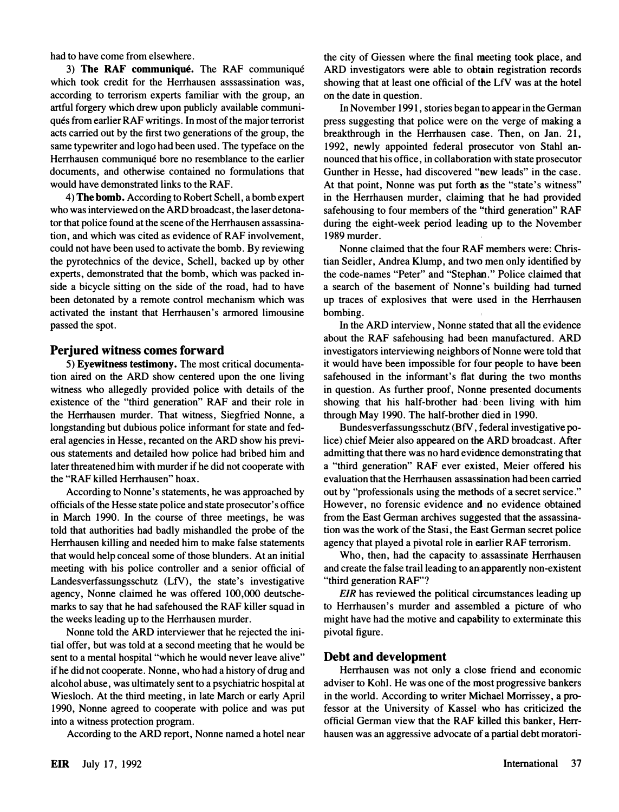had to have come from elsewhere.

3) The RAF communiqué. The RAF communiqué which took credit for the Herrhausen asssassination was, according to terrorism experts familiar with the group, an artful forgery which drew upon publicly available communiqués from earlier RAF writings. In most of the major terrorist acts carried out by the first two generations of the group, the same typewriter and logo had been used. The typeface on the Herrhausen communique bore no resemblance to the earlier documents, and otherwise contained no formulations that would have demonstrated links to the RAF.

4) The bomb. According to Robert Schell, a bomb expert who was interviewed on the ARD broadcast, the laser detonator that police found at the scene of the Herrhausen assassination, and which was cited as evidence of RAF involvement, could not have been used to activate the bomb. By reviewing the pyrotechnics of the device, Schell, backed up by other experts, demonstrated that the bomb, which was packed inside a bicycle sitting on the side of the road, had to have been detonated by a remote control mechanism which was activated the instant that Herrhausen's armored limousine passed the spot.

#### Perjured witness comes forward

5) Eyewitness testimony. The most critical documentation aired on the ARD show centered upon the one living witness who allegedly provided police with details of the existence of the "third generation" RAF and their role in the Herrhausen murder. That witness, Siegfried Nonne, a longstanding but dubious police informant for state and federal agencies in Hesse, recanted on the ARD show his previous statements and detailed how police had bribed him and later threatened him with murder if he did not cooperate with the "RAF killed Herrhausen" hoax.

According to Nonne's statements, he was approached by officials of the Hesse state police and state prosecutor's office in March 1990. In the course of three meetings, he was told that authorities had badly mishandled the probe of the Herrhausen killing and needed him to make false statements that would help conceal some of those blunders. At an initial meeting with his police controller and a senior official of Landesverfassungsschutz (LfV), the state's investigative agency, Nonne claimed he was offered 100,000 deutschemarks to say that he had safehoused the RAF killer squad in the weeks leading up to the Herrhausen murder.

Nonne told the ARD interviewer that he rejected the initial offer, but was told at a second meeting that he would be sent to a mental hospital "which he would never leave alive" if he did not cooperate. Nonne, who had a history of drug and alcohol abuse, was ultimately sent to a psychiatric hospital at Wiesloch. At the third meeting, in late March or early April 1990, Nonne agreed to cooperate with police and was put into a witness protection program.

According to the ARD report, Nonne named a hotel near

the city of Giessen where the final meeting took place, and ARD investigators were able to obtain registration records showing that at least one official of the LfV was at the hotel on the date in question.

In November 1991, stories began to appear in the German press suggesting that police were on the verge of making a breakthrough in the Herrhausen case. Then, on Jan. 21, 1992, newly appointed federal prosecutor von Stahl announced that his office, in collaboration with state prosecutor Gunther in Hesse, had discovered "new leads" in the case. At that point, Nonne was put forth as the "state's witness" in the Herrhausen murder, claiming that he had provided safehousing to four members of the "third generation" RAF during the eight-week period leading up to the November 1989 murder.

Nonne claimed that the four RAF members were: Christian Seidler, Andrea Klump, and two men only identified by the code-names "Peter" and "Stephan." Police claimed that a search of the basement of Nonne's building had turned up traces of explosives that were Used in the Herrhausen bombing.

In the ARD interview, Nonne stated that all the evidence about the RAF safehousing had been manufactured. ARD investigators interviewing neighbors of Nonne were told that it would have been impossible for four people to have been safehoused in the informant's fiat during the two months in question. As further proof, Nonne presented documents showing that his half-brother had. been living with him through May 1990. The half-brother died in 1990.

Bundesverfassungsschutz (BfV , federal investigative police) chief Meier also appeared on the ARD broadcast. After admitting that there was no hard evidence demonstrating that a "third generation" RAF ever existed, Meier offered his evaluation that the Herrhausen assassination had been carried out by "professionals using the methods of a secret service." However, no forensic evidence and no evidence obtained from the East German archives suggested that the assassination was the work of the Stasi, the East German secret police agency that played a pivotal role in earlier RAF terrorism.

Who, then, had the capacity to assassinate Herrhausen and create the false trail leading to an apparently non-existent "third generation RAF'?

EIR has reviewed the political circumstances leading up to Herrhausen's murder and assembled a picture of who might have had the motive and capability to exterminate this pivotal figure.

### Debt and development

Herrhausen was not only a close friend and economic adviser to Kohl. He was one of the most progressive bankers in the world. According to writer Michael Morrissey, a professor at the University of Kassel' who has criticized the official German view that the RAF killed this banker, Herrhausen was an aggressive advocate of a partial debt moratori-